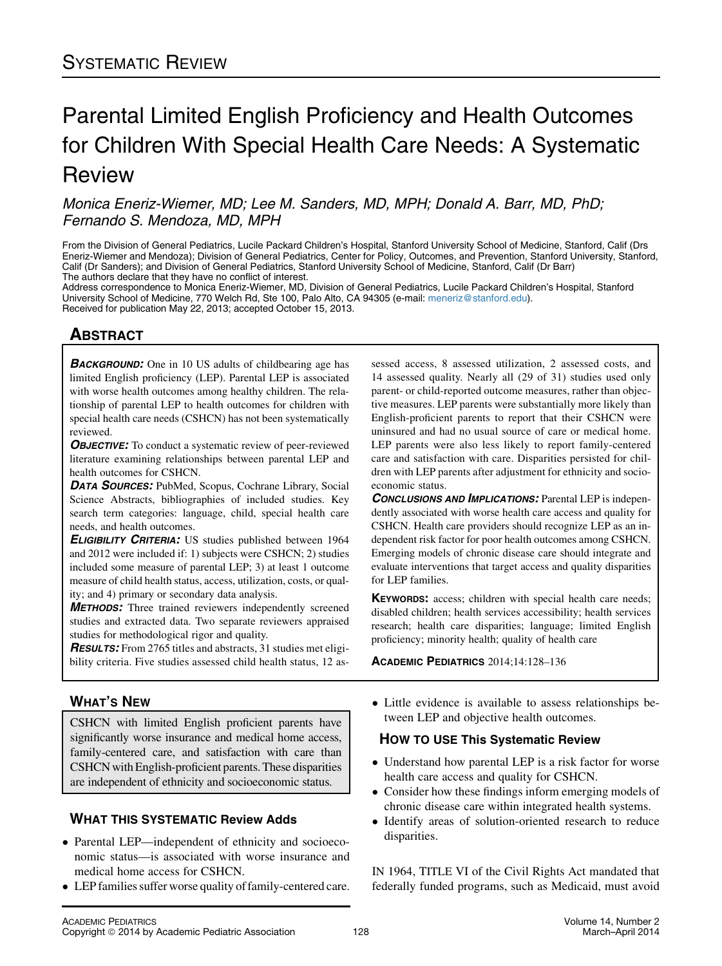# Parental Limited English Proficiency and Health Outcomes for Children With Special Health Care Needs: A Systematic **Review**

Monica Eneriz-Wiemer, MD; Lee M. Sanders, MD, MPH; Donald A. Barr, MD, PhD; Fernando S. Mendoza, MD, MPH

From the Division of General Pediatrics, Lucile Packard Children's Hospital, Stanford University School of Medicine, Stanford, Calif (Drs Eneriz-Wiemer and Mendoza); Division of General Pediatrics, Center for Policy, Outcomes, and Prevention, Stanford University, Stanford, Calif (Dr Sanders); and Division of General Pediatrics, Stanford University School of Medicine, Stanford, Calif (Dr Barr) The authors declare that they have no conflict of interest.

Address correspondence to Monica Eneriz-Wiemer, MD, Division of General Pediatrics, Lucile Packard Children's Hospital, Stanford University School of Medicine, 770 Welch Rd, Ste 100, Palo Alto, CA 94305 (e-mail: [meneriz@stanford.edu](mailto:meneriz@stanford.edu)). Received for publication May 22, 2013; accepted October 15, 2013.

## **ABSTRACT**

**BACKGROUND:** One in 10 US adults of childbearing age has limited English proficiency (LEP). Parental LEP is associated with worse health outcomes among healthy children. The relationship of parental LEP to health outcomes for children with special health care needs (CSHCN) has not been systematically reviewed.

**OBJECTIVE:** To conduct a systematic review of peer-reviewed literature examining relationships between parental LEP and health outcomes for CSHCN.

DATA SOURCES: PubMed, Scopus, Cochrane Library, Social Science Abstracts, bibliographies of included studies. Key search term categories: language, child, special health care needs, and health outcomes.

**ELIGIBILITY CRITERIA:** US studies published between 1964 and 2012 were included if: 1) subjects were CSHCN; 2) studies included some measure of parental LEP; 3) at least 1 outcome measure of child health status, access, utilization, costs, or quality; and 4) primary or secondary data analysis.

**METHODS:** Three trained reviewers independently screened studies and extracted data. Two separate reviewers appraised studies for methodological rigor and quality.

**RESULTS:** From 2765 titles and abstracts, 31 studies met eligibility criteria. Five studies assessed child health status, 12 as-

WHAT'S NEW

CSHCN with limited English proficient parents have significantly worse insurance and medical home access, family-centered care, and satisfaction with care than CSHCN with English-proficient parents. These disparities are independent of ethnicity and socioeconomic status.

## WHAT THIS SYSTEMATIC Review Adds

- Parental LEP—independent of ethnicity and socioeconomic status—is associated with worse insurance and medical home access for CSHCN.
- LEP families suffer worse quality of family-centered care.

sessed access, 8 assessed utilization, 2 assessed costs, and 14 assessed quality. Nearly all (29 of 31) studies used only parent- or child-reported outcome measures, rather than objective measures. LEP parents were substantially more likely than English-proficient parents to report that their CSHCN were uninsured and had no usual source of care or medical home. LEP parents were also less likely to report family-centered care and satisfaction with care. Disparities persisted for children with LEP parents after adjustment for ethnicity and socioeconomic status.

CONCLUSIONS AND **IMPLICATIONS:** Parental LEP is independently associated with worse health care access and quality for CSHCN. Health care providers should recognize LEP as an independent risk factor for poor health outcomes among CSHCN. Emerging models of chronic disease care should integrate and evaluate interventions that target access and quality disparities for LEP families.

KEYWORDS: access; children with special health care needs; disabled children; health services accessibility; health services research; health care disparities; language; limited English proficiency; minority health; quality of health care

ACADEMIC PEDIATRICS 2014;14:128–136

 Little evidence is available to assess relationships between LEP and objective health outcomes.

## HOW TO USE This Systematic Review

- Understand how parental LEP is a risk factor for worse health care access and quality for CSHCN.
- Consider how these findings inform emerging models of chronic disease care within integrated health systems.
- Identify areas of solution-oriented research to reduce disparities.

IN 1964, TITLE VI of the Civil Rights Act mandated that federally funded programs, such as Medicaid, must avoid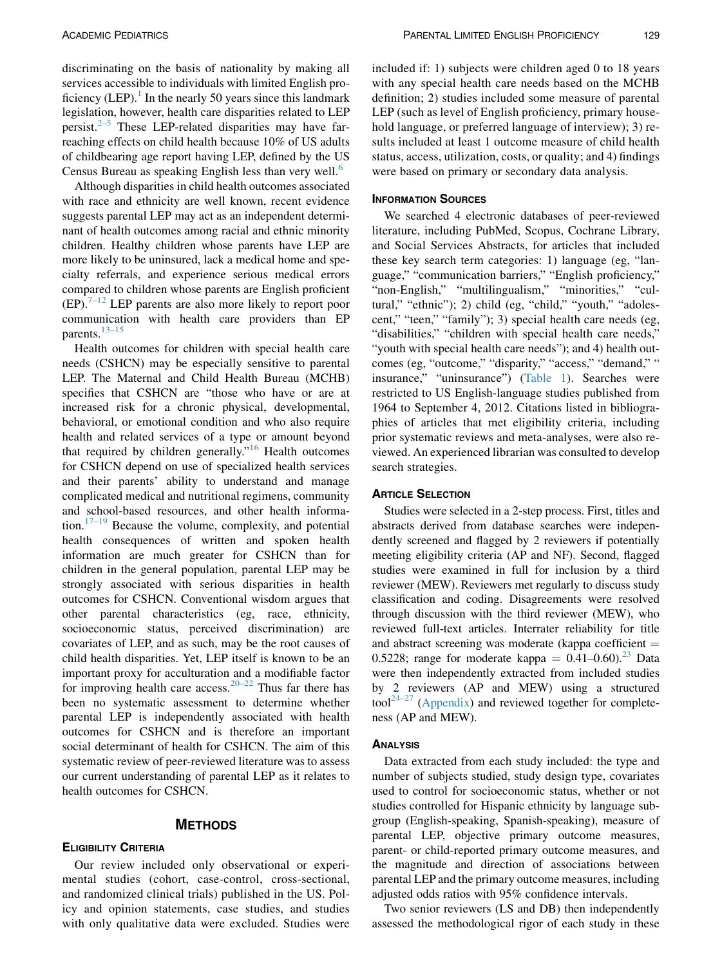discriminating on the basis of nationality by making all services accessible to individuals with limited English proficiency (LEP).<sup>1</sup> In the nearly 50 years since this landmark legislation, however, health care disparities related to LEP persist. $2-5$  These LEP-related disparities may have farreaching effects on child health because 10% of US adults of childbearing age report having LEP, defined by the US Census Bureau as speaking English less than very well.<sup>[6](#page-7-0)</sup>

Although disparities in child health outcomes associated with race and ethnicity are well known, recent evidence suggests parental LEP may act as an independent determinant of health outcomes among racial and ethnic minority children. Healthy children whose parents have LEP are more likely to be uninsured, lack a medical home and specialty referrals, and experience serious medical errors compared to children whose parents are English proficient  $(EP)$ .<sup>[7–12](#page-7-0)</sup> LEP parents are also more likely to report poor communication with health care providers than EP parents. $13-15$ 

Health outcomes for children with special health care needs (CSHCN) may be especially sensitive to parental LEP. The Maternal and Child Health Bureau (MCHB) specifies that CSHCN are "those who have or are at increased risk for a chronic physical, developmental, behavioral, or emotional condition and who also require health and related services of a type or amount beyond that required by children generally."<sup>[16](#page-7-0)</sup> Health outcomes for CSHCN depend on use of specialized health services and their parents' ability to understand and manage complicated medical and nutritional regimens, community and school-based resources, and other health information. $17-19$  Because the volume, complexity, and potential health consequences of written and spoken health information are much greater for CSHCN than for children in the general population, parental LEP may be strongly associated with serious disparities in health outcomes for CSHCN. Conventional wisdom argues that other parental characteristics (eg, race, ethnicity, socioeconomic status, perceived discrimination) are covariates of LEP, and as such, may be the root causes of child health disparities. Yet, LEP itself is known to be an important proxy for acculturation and a modifiable factor for improving health care access.<sup>[20–22](#page-7-0)</sup> Thus far there has been no systematic assessment to determine whether parental LEP is independently associated with health outcomes for CSHCN and is therefore an important social determinant of health for CSHCN. The aim of this systematic review of peer-reviewed literature was to assess our current understanding of parental LEP as it relates to health outcomes for CSHCN.

#### METHODS

#### ELIGIBILITY CRITERIA

Our review included only observational or experimental studies (cohort, case-control, cross-sectional, and randomized clinical trials) published in the US. Policy and opinion statements, case studies, and studies with only qualitative data were excluded. Studies were

included if: 1) subjects were children aged 0 to 18 years with any special health care needs based on the MCHB definition; 2) studies included some measure of parental LEP (such as level of English proficiency, primary household language, or preferred language of interview); 3) results included at least 1 outcome measure of child health status, access, utilization, costs, or quality; and 4) findings were based on primary or secondary data analysis.

#### INFORMATION SOURCES

We searched 4 electronic databases of peer-reviewed literature, including PubMed, Scopus, Cochrane Library, and Social Services Abstracts, for articles that included these key search term categories: 1) language (eg, "language," "communication barriers," "English proficiency," "non-English," "multilingualism," "minorities," "cultural," "ethnic"); 2) child (eg, "child," "youth," "adolescent," "teen," "family"); 3) special health care needs (eg, "disabilities," "children with special health care needs," "youth with special health care needs"); and 4) health outcomes (eg, "outcome," "disparity," "access," "demand," " insurance," "uninsurance") ([Table 1](#page-2-0)). Searches were restricted to US English-language studies published from 1964 to September 4, 2012. Citations listed in bibliographies of articles that met eligibility criteria, including prior systematic reviews and meta-analyses, were also reviewed. An experienced librarian was consulted to develop search strategies.

#### **ARTICLE SELECTION**

Studies were selected in a 2-step process. First, titles and abstracts derived from database searches were independently screened and flagged by 2 reviewers if potentially meeting eligibility criteria (AP and NF). Second, flagged studies were examined in full for inclusion by a third reviewer (MEW). Reviewers met regularly to discuss study classification and coding. Disagreements were resolved through discussion with the third reviewer (MEW), who reviewed full-text articles. Interrater reliability for title and abstract screening was moderate (kappa coefficient  $=$ 0.5228; range for moderate kappa =  $0.41-0.60$ .<sup>23</sup> Data were then independently extracted from included studies by 2 reviewers (AP and MEW) using a structured  $\text{tool}^{24-27}$  (Appendix) and reviewed together for completeness (AP and MEW).

#### **ANALYSIS**

Data extracted from each study included: the type and number of subjects studied, study design type, covariates used to control for socioeconomic status, whether or not studies controlled for Hispanic ethnicity by language subgroup (English-speaking, Spanish-speaking), measure of parental LEP, objective primary outcome measures, parent- or child-reported primary outcome measures, and the magnitude and direction of associations between parental LEP and the primary outcome measures, including adjusted odds ratios with 95% confidence intervals.

Two senior reviewers (LS and DB) then independently assessed the methodological rigor of each study in these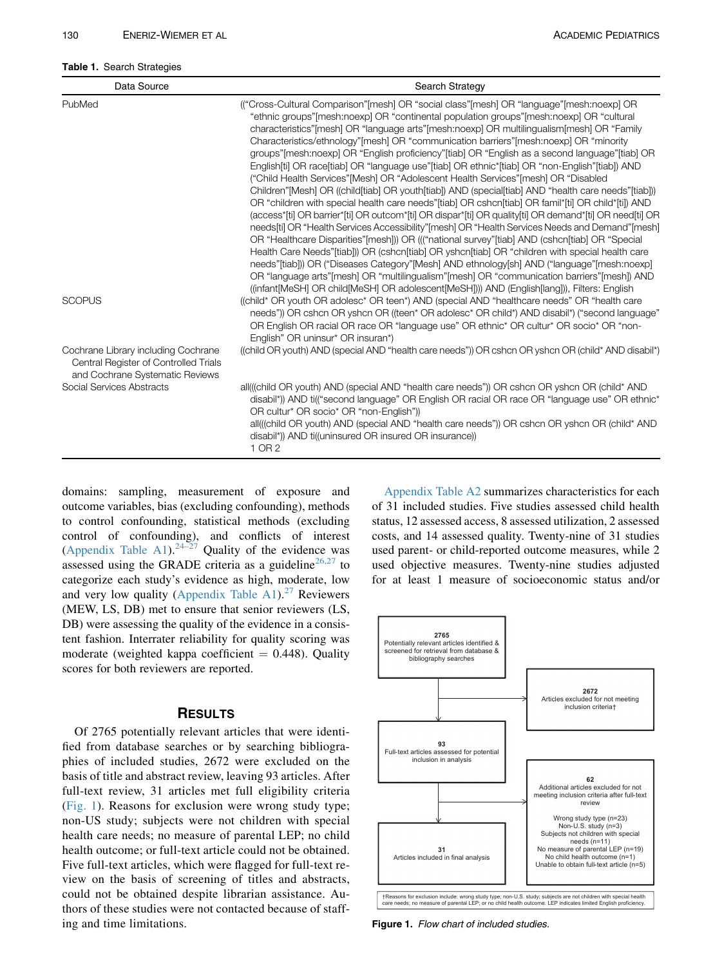<span id="page-2-0"></span>Table 1. Search Strategies

| Data Source                                                                                                     | Search Strategy                                                                                                                                                                                                                                                                                                                                                                                                                                                                                                                                                                                                                                                                                                                                                                                                                                                                                                                                                                                                                                                                                                                                                                                                                                                                                                                                                                                                                                                                                                                                                                                         |
|-----------------------------------------------------------------------------------------------------------------|---------------------------------------------------------------------------------------------------------------------------------------------------------------------------------------------------------------------------------------------------------------------------------------------------------------------------------------------------------------------------------------------------------------------------------------------------------------------------------------------------------------------------------------------------------------------------------------------------------------------------------------------------------------------------------------------------------------------------------------------------------------------------------------------------------------------------------------------------------------------------------------------------------------------------------------------------------------------------------------------------------------------------------------------------------------------------------------------------------------------------------------------------------------------------------------------------------------------------------------------------------------------------------------------------------------------------------------------------------------------------------------------------------------------------------------------------------------------------------------------------------------------------------------------------------------------------------------------------------|
| PubMed                                                                                                          | ("Cross-Cultural Comparison" mesh  OR "social class" mesh  OR "language" mesh:noexp  OR<br>"ethnic groups" [mesh:noexp] OR "continental population groups" [mesh:noexp] OR "cultural<br>characteristics" [mesh] OR "language arts" [mesh:noexp] OR multilingualism [mesh] OR "Family<br>Characteristics/ethnology"[mesh] OR "communication barriers"[mesh:noexp] OR "minority"<br>groups"[mesh:noexp] OR "English proficiency"[tiab] OR "English as a second language"[tiab] OR<br>English[ti] OR race[tiab] OR "language use"[tiab] OR ethnic*[tiab] OR "non-English"[tiab]) AND<br>("Child Health Services" [Mesh] OR "Adolescent Health Services" [mesh] OR "Disabled<br>Children"[Mesh] OR ((child[tiab] OR youth[tiab]) AND (special[tiab] AND "health care needs"[tiab]))<br>OR "children with special health care needs"[tiab] OR cshcn[tiab] OR famil*[ti] OR child*[ti]) AND<br>(access*[ti] OR barrier*[ti] OR outcom*[ti] OR dispar*[ti] OR quality[ti] OR demand*[ti] OR need[ti] OR<br>needs[ti] OR "Health Services Accessibility"[mesh] OR "Health Services Needs and Demand"[mesh]<br>OR "Healthcare Disparities" [mesh])) OR ((("national survey" [tiab] AND (cshcn [tiab] OR "Special<br>Health Care Needs"[tiab]) OR (cshcn[tiab] OR yshcn[tiab] OR "children with special health care<br>needs"[tiab])) OR ("Diseases Category"[Mesh] AND ethnology[sh] AND ("language"[mesh:noexp]<br>OR "language arts" [mesh] OR "multilingualism" [mesh] OR "communication barriers" [mesh]) AND<br>((infant[MeSH] OR child[MeSH] OR adolescent[MeSH]))) AND (English[lang])), Filters: English |
| <b>SCOPUS</b>                                                                                                   | ((child* OR youth OR adolesc* OR teen*) AND (special AND "healthcare needs" OR "health care<br>needs")) OR cshcn OR yshcn OR ((teen* OR adolesc* OR child*) AND disabil*) ("second language"<br>OR English OR racial OR race OR "language use" OR ethnic* OR cultur* OR socio* OR "non-<br>English" OR uninsur* OR insuran*)                                                                                                                                                                                                                                                                                                                                                                                                                                                                                                                                                                                                                                                                                                                                                                                                                                                                                                                                                                                                                                                                                                                                                                                                                                                                            |
| Cochrane Library including Cochrane<br>Central Register of Controlled Trials<br>and Cochrane Systematic Reviews | ((child OR youth) AND (special AND "health care needs")) OR cshcn OR yshcn OR (child* AND disabil*)                                                                                                                                                                                                                                                                                                                                                                                                                                                                                                                                                                                                                                                                                                                                                                                                                                                                                                                                                                                                                                                                                                                                                                                                                                                                                                                                                                                                                                                                                                     |
| Social Services Abstracts                                                                                       | all(((child OR youth) AND (special AND "health care needs")) OR cshcn OR yshcn OR (child* AND<br>disabil*)) AND ti(("second language" OR English OR racial OR race OR "language use" OR ethnic*<br>OR cultur* OR socio* OR "non-English"))<br>all(((child OR youth) AND (special AND "health care needs")) OR cshcn OR yshcn OR (child* AND<br>disabil*)) AND ti((uninsured OR insured OR insurance))<br>1 OR 2                                                                                                                                                                                                                                                                                                                                                                                                                                                                                                                                                                                                                                                                                                                                                                                                                                                                                                                                                                                                                                                                                                                                                                                         |

domains: sampling, measurement of exposure and outcome variables, bias (excluding confounding), methods to control confounding, statistical methods (excluding control of confounding), and conflicts of interest (Appendix Table A1). $24-27$  Quality of the evidence was assessed using the GRADE criteria as a guideline<sup>[26,27](#page-7-0)</sup> to categorize each study's evidence as high, moderate, low and very low quality (Appendix Table A1).<sup>[27](#page-7-0)</sup> Reviewers (MEW, LS, DB) met to ensure that senior reviewers (LS, DB) were assessing the quality of the evidence in a consistent fashion. Interrater reliability for quality scoring was moderate (weighted kappa coefficient  $= 0.448$ ). Quality scores for both reviewers are reported.

#### RESULTS

Of 2765 potentially relevant articles that were identified from database searches or by searching bibliographies of included studies, 2672 were excluded on the basis of title and abstract review, leaving 93 articles. After full-text review, 31 articles met full eligibility criteria (Fig. 1). Reasons for exclusion were wrong study type; non-US study; subjects were not children with special health care needs; no measure of parental LEP; no child health outcome; or full-text article could not be obtained. Five full-text articles, which were flagged for full-text review on the basis of screening of titles and abstracts, could not be obtained despite librarian assistance. Authors of these studies were not contacted because of staffing and time limitations.

Appendix Table A2 summarizes characteristics for each of 31 included studies. Five studies assessed child health status, 12 assessed access, 8 assessed utilization, 2 assessed costs, and 14 assessed quality. Twenty-nine of 31 studies used parent- or child-reported outcome measures, while 2 used objective measures. Twenty-nine studies adjusted for at least 1 measure of socioeconomic status and/or



Figure 1. Flow chart of included studies.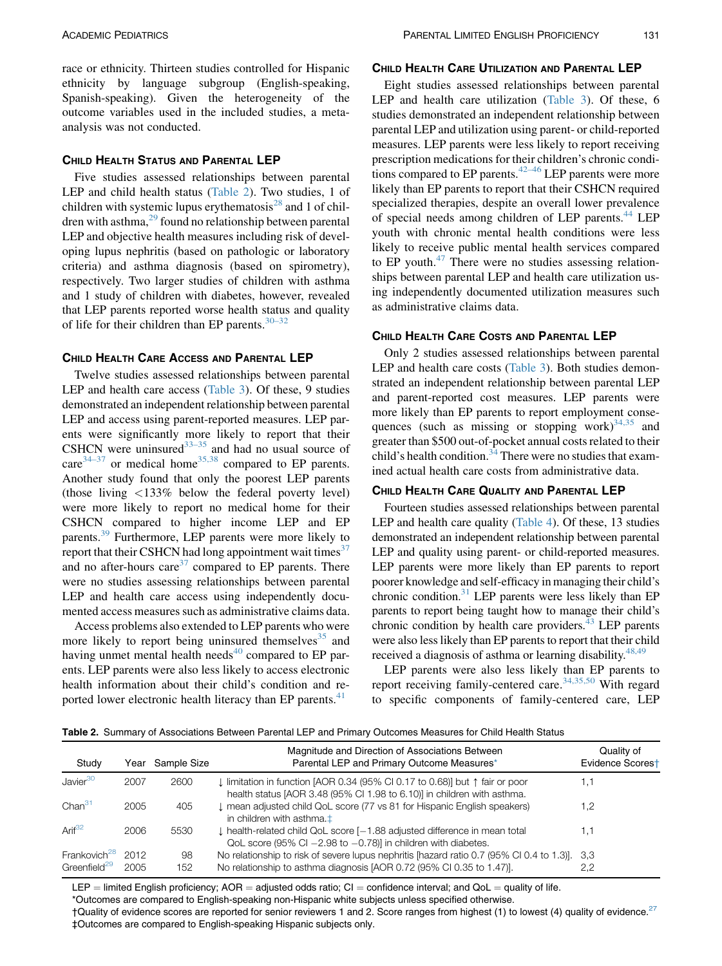race or ethnicity. Thirteen studies controlled for Hispanic ethnicity by language subgroup (English-speaking, Spanish-speaking). Given the heterogeneity of the outcome variables used in the included studies, a metaanalysis was not conducted.

#### CHILD HEALTH STATUS AND PARENTAL LEP

Five studies assessed relationships between parental LEP and child health status (Table 2). Two studies, 1 of children with systemic lupus erythematosis $^{28}$  $^{28}$  $^{28}$  and 1 of chil-dren with asthma,<sup>[29](#page-7-0)</sup> found no relationship between parental LEP and objective health measures including risk of developing lupus nephritis (based on pathologic or laboratory criteria) and asthma diagnosis (based on spirometry), respectively. Two larger studies of children with asthma and 1 study of children with diabetes, however, revealed that LEP parents reported worse health status and quality of life for their children than EP parents. $30-32$ 

#### CHILD HEALTH CARE ACCESS AND PARENTAL LEP

Twelve studies assessed relationships between parental LEP and health care access [\(Table 3\)](#page-4-0). Of these, 9 studies demonstrated an independent relationship between parental LEP and access using parent-reported measures. LEP parents were significantly more likely to report that their CSHCN were uninsured $33-35$  and had no usual source of care<sup>34–37</sup> or medical home<sup>35,38</sup> compared to EP parents. Another study found that only the poorest LEP parents (those living <133% below the federal poverty level) were more likely to report no medical home for their CSHCN compared to higher income LEP and EP parents.[39](#page-8-0) Furthermore, LEP parents were more likely to report that their CSHCN had long appointment wait times $37$ and no after-hours care $37$  compared to EP parents. There were no studies assessing relationships between parental LEP and health care access using independently documented access measures such as administrative claims data.

Access problems also extended to LEP parents who were more likely to report being uninsured themselves<sup>[35](#page-7-0)</sup> and having unmet mental health needs $40$  compared to EP parents. LEP parents were also less likely to access electronic health information about their child's condition and re-ported lower electronic health literacy than EP parents.<sup>[41](#page-8-0)</sup>

#### CHILD HEALTH CARE UTILIZATION AND PARENTAL LEP

Eight studies assessed relationships between parental LEP and health care utilization [\(Table 3](#page-4-0)). Of these, 6 studies demonstrated an independent relationship between parental LEP and utilization using parent- or child-reported measures. LEP parents were less likely to report receiving prescription medications for their children's chronic condi-tions compared to EP parents.<sup>[42–46](#page-8-0)</sup> LEP parents were more likely than EP parents to report that their CSHCN required specialized therapies, despite an overall lower prevalence of special needs among children of LEP parents.<sup>[44](#page-8-0)</sup> LEP youth with chronic mental health conditions were less likely to receive public mental health services compared to EP youth. $47$  There were no studies assessing relationships between parental LEP and health care utilization using independently documented utilization measures such as administrative claims data.

#### CHILD HEALTH CARE COSTS AND PARENTAL LEP

Only 2 studies assessed relationships between parental LEP and health care costs ([Table 3](#page-4-0)). Both studies demonstrated an independent relationship between parental LEP and parent-reported cost measures. LEP parents were more likely than EP parents to report employment consequences (such as missing or stopping work) $34,35$  and greater than \$500 out-of-pocket annual costs related to their child's health condition.<sup>34</sup> There were no studies that examined actual health care costs from administrative data.

#### CHILD HEALTH CARE QUALITY AND PARENTAL LEP

Fourteen studies assessed relationships between parental LEP and health care quality [\(Table 4\)](#page-5-0). Of these, 13 studies demonstrated an independent relationship between parental LEP and quality using parent- or child-reported measures. LEP parents were more likely than EP parents to report poorer knowledge and self-efficacy in managing their child's chronic condition. $31$  LEP parents were less likely than EP parents to report being taught how to manage their child's chronic condition by health care providers. $43$  LEP parents were also less likely than EP parents to report that their child received a diagnosis of asthma or learning disability. $48,49$ 

LEP parents were also less likely than EP parents to report receiving family-centered care.<sup>[34,35,50](#page-7-0)</sup> With regard to specific components of family-centered care, LEP

Table 2. Summary of Associations Between Parental LEP and Primary Outcomes Measures for Child Health Status

| Study                    | Year | Sample Size | Magnitude and Direction of Associations Between<br>Parental LEP and Primary Outcome Measures*                                                           | Quality of<br>Evidence Scorest |
|--------------------------|------|-------------|---------------------------------------------------------------------------------------------------------------------------------------------------------|--------------------------------|
| Javier <sup>30</sup>     | 2007 | 2600        | ↓ limitation in function [AOR 0.34 (95% CI 0.17 to 0.68)] but ↑ fair or poor<br>health status [AOR 3.48 (95% CI 1.98 to 6.10)] in children with asthma. | 1.1                            |
| Chan <sup>31</sup>       | 2005 | 405         | I mean adjusted child QoL score (77 vs 81 for Hispanic English speakers)<br>in children with asthma. <sup><math>\pm</math></sup>                        | 1,2                            |
| Arif $^{32}$             | 2006 | 5530        | ↓ health-related child QoL score [-1.88 adjusted difference in mean total<br>QoL score (95% CI $-2.98$ to $-0.78$ )] in children with diabetes.         | 1.1                            |
| Frankovich <sup>28</sup> | 2012 | 98          | No relationship to risk of severe lupus nephritis [hazard ratio 0.7 (95% CI 0.4 to 1.3)].                                                               | - 3.3                          |
| Greenfield <sup>29</sup> | 2005 | 152         | No relationship to asthma diagnosis [AOR 0.72 (95% CI 0.35 to 1.47)].                                                                                   | 2,2                            |

LEP = limited English proficiency;  $AOR =$  adjusted odds ratio;  $Cl =$  confidence interval; and QoL = quality of life.

\*Outcomes are compared to English-speaking non-Hispanic white subjects unless specified otherwise.

†Quality of evidence scores are reported for senior reviewers 1 and 2. Score ranges from highest (1) to lowest (4) quality of evidence.<sup>[27](#page-7-0)</sup> ‡Outcomes are compared to English-speaking Hispanic subjects only.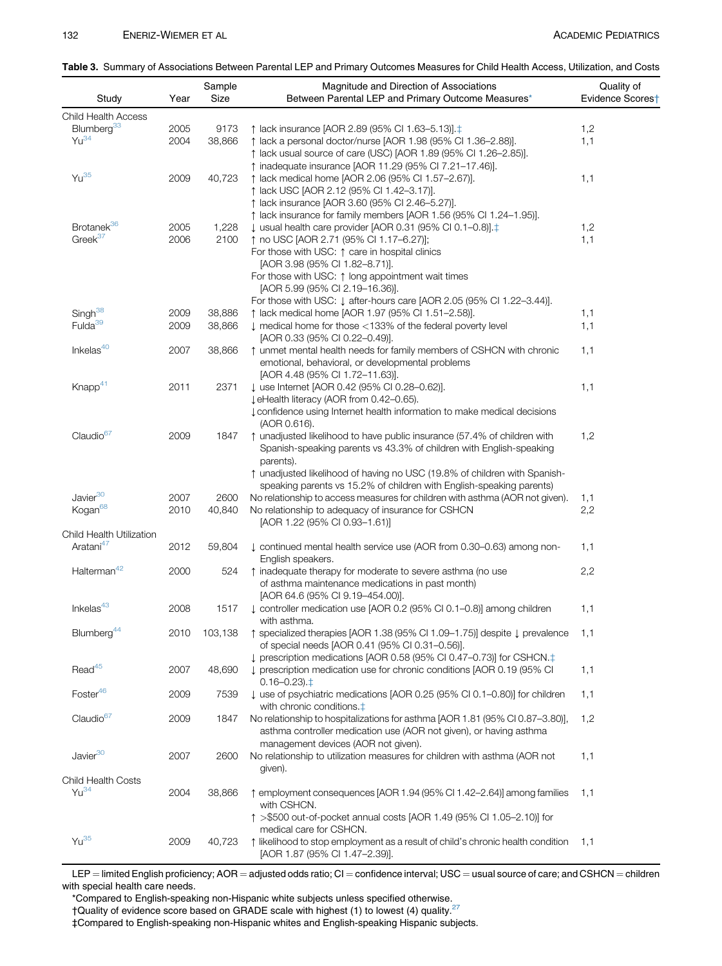#### <span id="page-4-0"></span>Table 3. Summary of Associations Between Parental LEP and Primary Outcomes Measures for Child Health Access, Utilization, and Costs

| Study                                       | Year         | Sample<br>Size | Magnitude and Direction of Associations<br>Between Parental LEP and Primary Outcome Measures*                                                                                                                                             | Quality of<br>Evidence Scorest |
|---------------------------------------------|--------------|----------------|-------------------------------------------------------------------------------------------------------------------------------------------------------------------------------------------------------------------------------------------|--------------------------------|
| <b>Child Health Access</b>                  |              |                |                                                                                                                                                                                                                                           |                                |
| Blumberg <sup>33</sup><br>$Yu^{34}$         | 2005<br>2004 | 9173<br>38,866 | ↑ lack insurance [AOR 2.89 (95% CI 1.63–5.13)].‡<br>↑ lack a personal doctor/nurse [AOR 1.98 (95% Cl 1.36-2.88)].<br>↑ lack usual source of care (USC) [AOR 1.89 (95% CI 1.26-2.85)].                                                     | 1,2<br>1,1                     |
| $Yu^{35}$                                   | 2009         | 40,723         | ↑ inadequate insurance [AOR 11.29 (95% CI 7.21-17.46)].<br>↑ lack medical home [AOR 2.06 (95% Cl 1.57-2.67)].                                                                                                                             | 1,1                            |
|                                             |              |                | ↑ lack USC [AOR 2.12 (95% CI 1.42-3.17)].<br>↑ lack insurance [AOR 3.60 (95% Cl 2.46-5.27)].<br>↑ lack insurance for family members [AOR 1.56 (95% Cl 1.24-1.95)].                                                                        |                                |
| Brotanek <sup>36</sup><br>Greek $37$        | 2005<br>2006 | 1,228<br>2100  | ↓ usual health care provider [AOR 0.31 (95% CI 0.1-0.8)].‡<br>↑ no USC [AOR 2.71 (95% Cl 1.17-6.27)];                                                                                                                                     | 1,2<br>1,1                     |
|                                             |              |                | For those with USC: $\uparrow$ care in hospital clinics<br>[AOR 3.98 (95% CI 1.82-8.71)].<br>For those with USC: ↑ long appointment wait times<br>[AOR 5.99 (95% CI 2.19-16.36)].                                                         |                                |
| Singh <sup>38</sup>                         | 2009         | 38,886         | For those with USC: $\downarrow$ after-hours care [AOR 2.05 (95% Cl 1.22-3.44)].<br>↑ lack medical home [AOR 1.97 (95% Cl 1.51-2.58)].                                                                                                    | 1,1                            |
| Fulda <sup>39</sup>                         | 2009         | 38,866         | ↓ medical home for those <133% of the federal poverty level<br>[AOR 0.33 (95% CI 0.22-0.49)].                                                                                                                                             | 1,1                            |
| Inkelas <sup>40</sup>                       | 2007         | 38,866         | ↑ unmet mental health needs for family members of CSHCN with chronic<br>emotional, behavioral, or developmental problems<br>[AOR 4.48 (95% CI 1.72-11.63)].                                                                               | 1,1                            |
| Knapp $41$                                  | 2011         | 2371           | ↓ use Internet [AOR 0.42 (95% CI 0.28-0.62)].                                                                                                                                                                                             | 1,1                            |
|                                             |              |                | LeHealth literacy (AOR from 0.42-0.65).<br>↓ confidence using Internet health information to make medical decisions<br>(AOR 0.616).                                                                                                       |                                |
| Claudio <sup>67</sup>                       | 2009         | 1847           | ↑ unadjusted likelihood to have public insurance (57.4% of children with<br>Spanish-speaking parents vs 43.3% of children with English-speaking<br>parents).<br>↑ unadjusted likelihood of having no USC (19.8% of children with Spanish- | 1,2                            |
|                                             |              |                | speaking parents vs 15.2% of children with English-speaking parents)                                                                                                                                                                      |                                |
| Javier <sup>30</sup><br>Kogan <sup>68</sup> | 2007<br>2010 | 2600<br>40,840 | No relationship to access measures for children with asthma (AOR not given).<br>No relationship to adequacy of insurance for CSHCN<br>[AOR 1.22 (95% CI 0.93-1.61)]                                                                       | 1,1<br>2,2                     |
| Child Health Utilization                    |              |                |                                                                                                                                                                                                                                           |                                |
| Aratani <sup>47</sup>                       | 2012         | 59,804         | ↓ continued mental health service use (AOR from 0.30–0.63) among non-<br>English speakers.                                                                                                                                                | 1,1                            |
| Halterman <sup>42</sup>                     | 2000         | 524            | ↑ inadequate therapy for moderate to severe asthma (no use<br>of asthma maintenance medications in past month)<br>[AOR 64.6 (95% CI 9.19-454.00)].                                                                                        | 2,2                            |
| Inkelas $43$                                | 2008         | 1517           | ↓ controller medication use [AOR 0.2 (95% CI 0.1-0.8)] among children<br>with asthma.                                                                                                                                                     | 1,1                            |
| Blumberg <sup>44</sup>                      | 2010         | 103,138        | ↑ specialized therapies [AOR 1.38 (95% CI 1.09–1.75)] despite ↓ prevalence<br>of special needs [AOR 0.41 (95% CI 0.31-0.56)].                                                                                                             | 1,1                            |
| Read <sup>45</sup>                          | 2007         | 48,690         | ↓ prescription medications [AOR 0.58 (95% CI 0.47-0.73)] for CSHCN.‡<br>prescription medication use for chronic conditions [AOR 0.19 (95% CI<br>$0.16 - 0.23$ ). $\ddagger$                                                               | 1,1                            |
| Foster <sup>46</sup>                        | 2009         | 7539           | ↓ use of psychiatric medications [AOR 0.25 (95% CI 0.1–0.80)] for children<br>with chronic conditions. <sup>‡</sup>                                                                                                                       | 1,1                            |
| Claudio <sup>67</sup>                       | 2009         | 1847           | No relationship to hospitalizations for asthma [AOR 1.81 (95% CI 0.87-3.80)],<br>asthma controller medication use (AOR not given), or having asthma                                                                                       | 1,2                            |
| Javier <sup>30</sup>                        | 2007         | 2600           | management devices (AOR not given).<br>No relationship to utilization measures for children with asthma (AOR not<br>given).                                                                                                               | 1,1                            |
| Child Health Costs<br>$Yu^{34}$             | 2004         |                |                                                                                                                                                                                                                                           | 1,1                            |
|                                             |              | 38,866         | ↑ employment consequences [AOR 1.94 (95% CI 1.42–2.64)] among families<br>with CSHCN.<br>↑ >\$500 out-of-pocket annual costs [AOR 1.49 (95% CI 1.05-2.10)] for                                                                            |                                |
| $Yu^{35}$                                   | 2009         | 40,723         | medical care for CSHCN.<br>↑ likelihood to stop employment as a result of child's chronic health condition<br>[AOR 1.87 (95% CI 1.47-2.39)].                                                                                              | 1,1                            |

 $LEP =$  limited English proficiency; AOR = adjusted odds ratio; CI = confidence interval; USC = usual source of care; and CSHCN = children with special health care needs.

\*Compared to English-speaking non-Hispanic white subjects unless specified otherwise.

†Quality of evidence score based on GRADE scale with highest (1) to lowest (4) quality[.27](#page-7-0)

‡Compared to English-speaking non-Hispanic whites and English-speaking Hispanic subjects.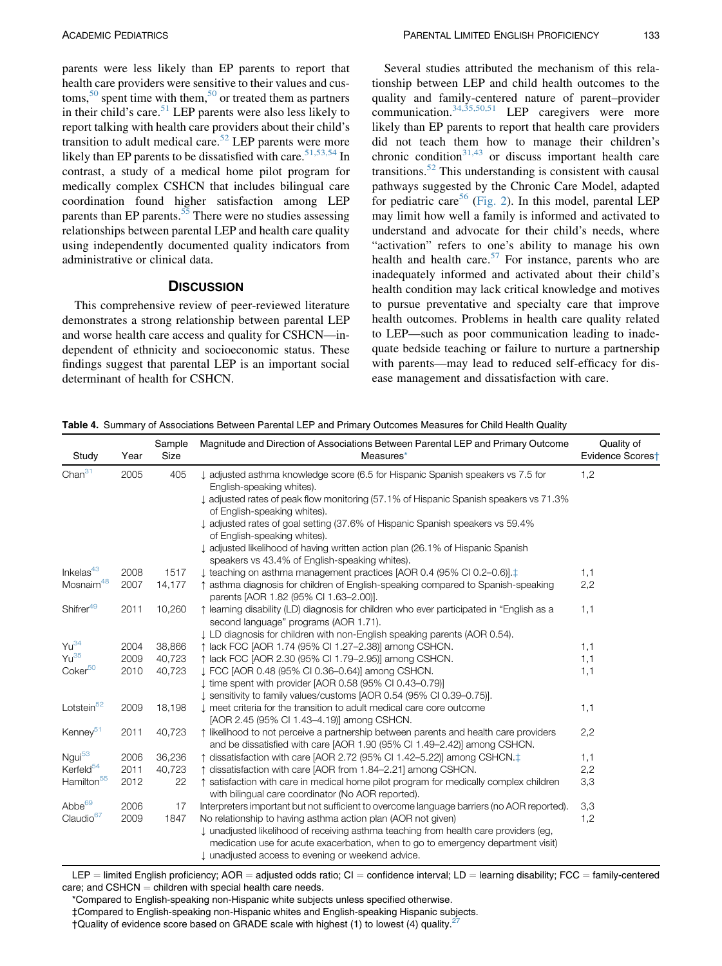<span id="page-5-0"></span>parents were less likely than EP parents to report that health care providers were sensitive to their values and cus $toms$ ,  $50$  spent time with them,  $50$  or treated them as partners in their child's care.<sup>[51](#page-8-0)</sup> LEP parents were also less likely to report talking with health care providers about their child's transition to adult medical care.<sup>[52](#page-8-0)</sup> LEP parents were more likely than EP parents to be dissatisfied with care.<sup>[51,53,54](#page-8-0)</sup> In contrast, a study of a medical home pilot program for medically complex CSHCN that includes bilingual care coordination found higher satisfaction among LEP parents than EP parents.<sup>[55](#page-8-0)</sup> There were no studies assessing relationships between parental LEP and health care quality using independently documented quality indicators from administrative or clinical data.

#### **DISCUSSION**

This comprehensive review of peer-reviewed literature demonstrates a strong relationship between parental LEP and worse health care access and quality for CSHCN—independent of ethnicity and socioeconomic status. These findings suggest that parental LEP is an important social determinant of health for CSHCN.

Several studies attributed the mechanism of this relationship between LEP and child health outcomes to the quality and family-centered nature of parent–provider communication.<sup>[34,35,50,51](#page-7-0)</sup> LEP caregivers were more likely than EP parents to report that health care providers did not teach them how to manage their children's chronic condition<sup>[31,43](#page-7-0)</sup> or discuss important health care transitions.[52](#page-8-0) This understanding is consistent with causal pathways suggested by the Chronic Care Model, adapted for pediatric care<sup>[56](#page-8-0)</sup> [\(Fig. 2\)](#page-6-0). In this model, parental LEP may limit how well a family is informed and activated to understand and advocate for their child's needs, where "activation" refers to one's ability to manage his own health and health care.<sup>[57](#page-8-0)</sup> For instance, parents who are inadequately informed and activated about their child's health condition may lack critical knowledge and motives to pursue preventative and specialty care that improve health outcomes. Problems in health care quality related to LEP—such as poor communication leading to inadequate bedside teaching or failure to nurture a partnership with parents—may lead to reduced self-efficacy for disease management and dissatisfaction with care.

Table 4. Summary of Associations Between Parental LEP and Primary Outcomes Measures for Child Health Quality

| Study                  | Year | Sample<br>Size | Magnitude and Direction of Associations Between Parental LEP and Primary Outcome<br>Measures*                                                                    | Quality of<br>Evidence Scorest |
|------------------------|------|----------------|------------------------------------------------------------------------------------------------------------------------------------------------------------------|--------------------------------|
| Chan <sup>31</sup>     | 2005 | 405            | I adjusted asthma knowledge score (6.5 for Hispanic Spanish speakers vs 7.5 for<br>English-speaking whites).                                                     | 1,2                            |
|                        |      |                | ↓ adjusted rates of peak flow monitoring (57.1% of Hispanic Spanish speakers vs 71.3%<br>of English-speaking whites).                                            |                                |
|                        |      |                | ↓ adjusted rates of goal setting (37.6% of Hispanic Spanish speakers vs 59.4%<br>of English-speaking whites).                                                    |                                |
|                        |      |                | I adjusted likelihood of having written action plan (26.1% of Hispanic Spanish<br>speakers vs 43.4% of English-speaking whites).                                 |                                |
| Inkelas <sup>43</sup>  | 2008 | 1517           | ↓ teaching on asthma management practices [AOR 0.4 (95% CI 0.2-0.6)]. $\ddagger$                                                                                 | 1,1                            |
| Mosnaim <sup>48</sup>  | 2007 | 14,177         | t asthma diagnosis for children of English-speaking compared to Spanish-speaking<br>parents [AOR 1.82 (95% CI 1.63-2.00)].                                       | 2,2                            |
| Shifrer <sup>49</sup>  | 2011 | 10,260         | t learning disability (LD) diagnosis for children who ever participated in "English as a<br>second language" programs (AOR 1.71).                                | 1,1                            |
|                        |      |                | I LD diagnosis for children with non-English speaking parents (AOR 0.54).                                                                                        |                                |
| $Yu^{34}$              | 2004 | 38,866         | ↑ lack FCC [AOR 1.74 (95% Cl 1.27-2.38)] among CSHCN.                                                                                                            | 1,1                            |
| $Yu^{35}$              | 2009 | 40,723         | ↑ lack FCC [AOR 2.30 (95% CI 1.79–2.95)] among CSHCN.                                                                                                            | 1,1                            |
| Coker <sup>50</sup>    | 2010 | 40,723         | J FCC [AOR 0.48 (95% CI 0.36-0.64)] among CSHCN.                                                                                                                 | 1,1                            |
|                        |      |                | time spent with provider [AOR 0.58 (95% CI 0.43-0.79)]                                                                                                           |                                |
|                        |      |                | sensitivity to family values/customs [AOR 0.54 (95% CI 0.39-0.75)].                                                                                              |                                |
| Lotstein <sup>52</sup> | 2009 | 18,198         | I meet criteria for the transition to adult medical care core outcome<br>[AOR 2.45 (95% CI 1.43-4.19)] among CSHCN.                                              | 1,1                            |
| Kenney <sup>51</sup>   | 2011 | 40,723         | ↑ likelihood to not perceive a partnership between parents and health care providers<br>and be dissatisfied with care [AOR 1.90 (95% CI 1.49-2.42)] among CSHCN. | 2,2                            |
| Ngui <sup>53</sup>     | 2006 | 36,236         | ↑ dissatisfaction with care [AOR 2.72 (95% CI 1.42–5.22)] among CSHCN.‡                                                                                          | 1,1                            |
| Kerfeld <sup>54</sup>  | 2011 | 40,723         | ↑ dissatisfaction with care [AOR from 1.84-2.21] among CSHCN.                                                                                                    | 2,2                            |
| Hamilton <sup>55</sup> | 2012 | 22             | t satisfaction with care in medical home pilot program for medically complex children<br>with bilingual care coordinator (No AOR reported).                      | 3,3                            |
| Abbe <sup>69</sup>     | 2006 | 17             | Interpreters important but not sufficient to overcome language barriers (no AOR reported).                                                                       | 3,3                            |
| Claudio <sup>67</sup>  | 2009 | 1847           | No relationship to having asthma action plan (AOR not given)                                                                                                     | 1,2                            |
|                        |      |                | I unadjusted likelihood of receiving asthma teaching from health care providers (eg,                                                                             |                                |
|                        |      |                | medication use for acute exacerbation, when to go to emergency department visit)                                                                                 |                                |
|                        |      |                | I unadjusted access to evening or weekend advice.                                                                                                                |                                |

LEP = limited English proficiency; AOR = adjusted odds ratio; CI = confidence interval; LD = learning disability; FCC = family-centered care; and  $CSHCN =$  children with special health care needs.

\*Compared to English-speaking non-Hispanic white subjects unless specified otherwise.

‡Compared to English-speaking non-Hispanic whites and English-speaking Hispanic subjects.

 $\dagger$ Quality of evidence score based on GRADE scale with highest (1) to lowest (4) quality.<sup>27</sup>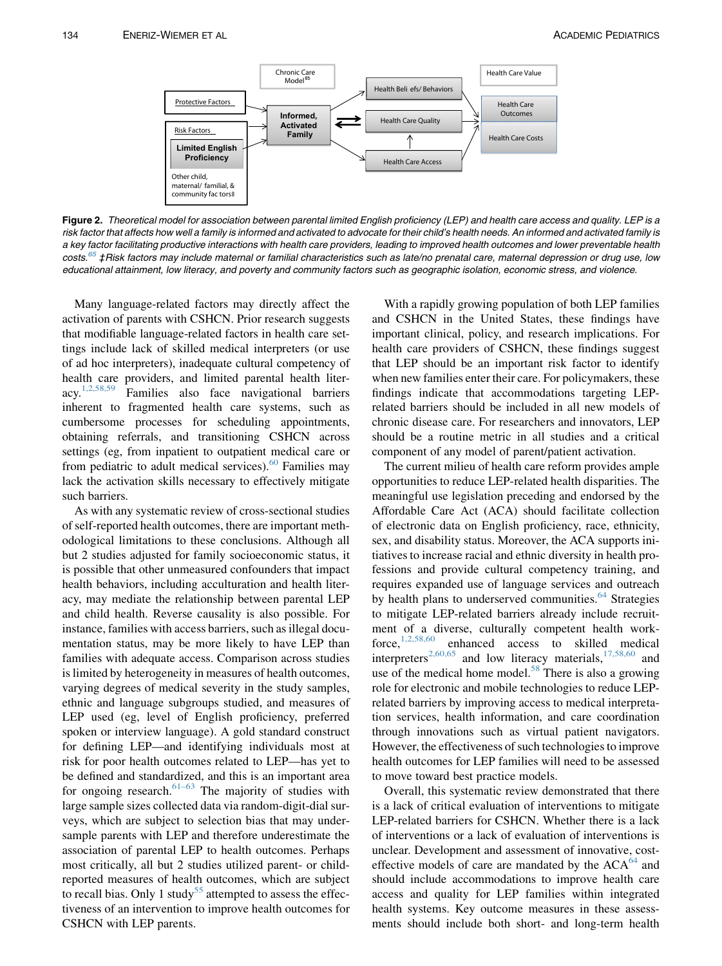<span id="page-6-0"></span>

Figure 2. Theoretical model for association between parental limited English proficiency (LEP) and health care access and quality. LEP is a risk factor that affects how well a family is informed and activated to advocate for their child's health needs. An informed and activated family is a key factor facilitating productive interactions with health care providers, leading to improved health outcomes and lower preventable health costs.<sup>65</sup> ‡Risk factors may include maternal or familial characteristics such as late/no prenatal care, maternal depression or drug use, low educational attainment, low literacy, and poverty and community factors such as geographic isolation, economic stress, and violence.

Many language-related factors may directly affect the activation of parents with CSHCN. Prior research suggests that modifiable language-related factors in health care settings include lack of skilled medical interpreters (or use of ad hoc interpreters), inadequate cultural competency of health care providers, and limited parental health liter-<br> $\frac{acc}{12,58,59}$  Families also face navigational barriers Families also face navigational barriers inherent to fragmented health care systems, such as cumbersome processes for scheduling appointments, obtaining referrals, and transitioning CSHCN across settings (eg, from inpatient to outpatient medical care or from pediatric to adult medical services). $60$  Families may lack the activation skills necessary to effectively mitigate such barriers.

As with any systematic review of cross-sectional studies of self-reported health outcomes, there are important methodological limitations to these conclusions. Although all but 2 studies adjusted for family socioeconomic status, it is possible that other unmeasured confounders that impact health behaviors, including acculturation and health literacy, may mediate the relationship between parental LEP and child health. Reverse causality is also possible. For instance, families with access barriers, such as illegal documentation status, may be more likely to have LEP than families with adequate access. Comparison across studies is limited by heterogeneity in measures of health outcomes, varying degrees of medical severity in the study samples, ethnic and language subgroups studied, and measures of LEP used (eg, level of English proficiency, preferred spoken or interview language). A gold standard construct for defining LEP—and identifying individuals most at risk for poor health outcomes related to LEP—has yet to be defined and standardized, and this is an important area for ongoing research. $61-63$  The majority of studies with large sample sizes collected data via random-digit-dial surveys, which are subject to selection bias that may undersample parents with LEP and therefore underestimate the association of parental LEP to health outcomes. Perhaps most critically, all but 2 studies utilized parent- or childreported measures of health outcomes, which are subject to recall bias. Only 1 study<sup>[55](#page-8-0)</sup> attempted to assess the effectiveness of an intervention to improve health outcomes for CSHCN with LEP parents.

With a rapidly growing population of both LEP families and CSHCN in the United States, these findings have important clinical, policy, and research implications. For health care providers of CSHCN, these findings suggest that LEP should be an important risk factor to identify when new families enter their care. For policymakers, these findings indicate that accommodations targeting LEPrelated barriers should be included in all new models of chronic disease care. For researchers and innovators, LEP should be a routine metric in all studies and a critical component of any model of parent/patient activation.

The current milieu of health care reform provides ample opportunities to reduce LEP-related health disparities. The meaningful use legislation preceding and endorsed by the Affordable Care Act (ACA) should facilitate collection of electronic data on English proficiency, race, ethnicity, sex, and disability status. Moreover, the ACA supports initiatives to increase racial and ethnic diversity in health professions and provide cultural competency training, and requires expanded use of language services and outreach by health plans to underserved communities.<sup>64</sup> Strategies to mitigate LEP-related barriers already include recruitment of a diverse, culturally competent health work-<br>force,  $^{1,2,58,60}$  enhanced access to skilled medical force, $^{1,2,58,60}$  $^{1,2,58,60}$  $^{1,2,58,60}$  enhanced access to skilled medical interpreters<sup>[2,60,65](#page-7-0)</sup> and low literacy materials,  $17,58,60$  and use of the medical home model.<sup>58</sup> There is also a growing role for electronic and mobile technologies to reduce LEPrelated barriers by improving access to medical interpretation services, health information, and care coordination through innovations such as virtual patient navigators. However, the effectiveness of such technologies to improve health outcomes for LEP families will need to be assessed to move toward best practice models.

Overall, this systematic review demonstrated that there is a lack of critical evaluation of interventions to mitigate LEP-related barriers for CSHCN. Whether there is a lack of interventions or a lack of evaluation of interventions is unclear. Development and assessment of innovative, costeffective models of care are mandated by the  $ACA^{64}$  $ACA^{64}$  $ACA^{64}$  and should include accommodations to improve health care access and quality for LEP families within integrated health systems. Key outcome measures in these assessments should include both short- and long-term health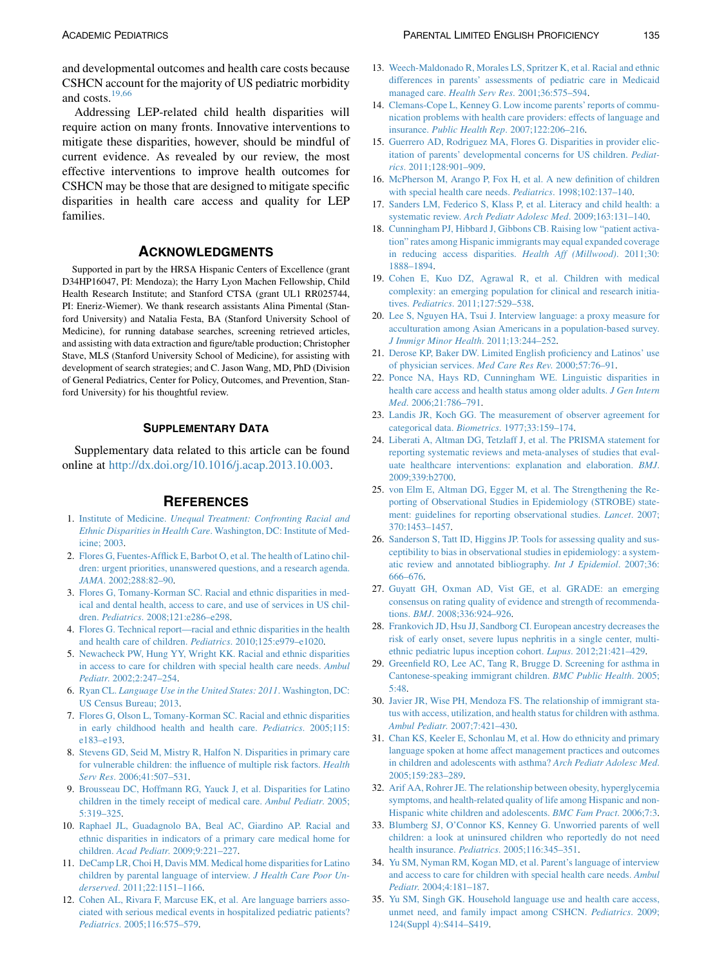<span id="page-7-0"></span>and developmental outcomes and health care costs because CSHCN account for the majority of US pediatric morbidity and costs.<sup>19,66</sup>

Addressing LEP-related child health disparities will require action on many fronts. Innovative interventions to mitigate these disparities, however, should be mindful of current evidence. As revealed by our review, the most effective interventions to improve health outcomes for CSHCN may be those that are designed to mitigate specific disparities in health care access and quality for LEP families.

#### ACKNOWLEDGMENTS

Supported in part by the HRSA Hispanic Centers of Excellence (grant D34HP16047, PI: Mendoza); the Harry Lyon Machen Fellowship, Child Health Research Institute; and Stanford CTSA (grant UL1 RR025744, PI: Eneriz-Wiemer). We thank research assistants Alina Pimental (Stanford University) and Natalia Festa, BA (Stanford University School of Medicine), for running database searches, screening retrieved articles, and assisting with data extraction and figure/table production; Christopher Stave, MLS (Stanford University School of Medicine), for assisting with development of search strategies; and C. Jason Wang, MD, PhD (Division of General Pediatrics, Center for Policy, Outcomes, and Prevention, Stanford University) for his thoughtful review.

#### SUPPLEMENTARY DATA

Supplementary data related to this article can be found online at <http://dx.doi.org/10.1016/j.acap.2013.10.003>.

#### **REFERENCES**

- 1. Institute of Medicine. [Unequal Treatment: Confronting Racial and](http://refhub.elsevier.com/S1876-2859(13)00295-7/sref1) Ethnic Disparities in Health Care[. Washington, DC: Institute of Med](http://refhub.elsevier.com/S1876-2859(13)00295-7/sref1)[icine; 2003](http://refhub.elsevier.com/S1876-2859(13)00295-7/sref1).
- 2. [Flores G, Fuentes-Afflick E, Barbot O, et al. The health of Latino chil](http://refhub.elsevier.com/S1876-2859(13)00295-7/sref2)[dren: urgent priorities, unanswered questions, and a research agenda.](http://refhub.elsevier.com/S1876-2859(13)00295-7/sref2) JAMA[. 2002;288:82–90](http://refhub.elsevier.com/S1876-2859(13)00295-7/sref2).
- 3. [Flores G, Tomany-Korman SC. Racial and ethnic disparities in med](http://refhub.elsevier.com/S1876-2859(13)00295-7/sref3)[ical and dental health, access to care, and use of services in US chil](http://refhub.elsevier.com/S1876-2859(13)00295-7/sref3)dren. Pediatrics[. 2008;121:e286–e298](http://refhub.elsevier.com/S1876-2859(13)00295-7/sref3).
- 4. [Flores G. Technical report—racial and ethnic disparities in the health](http://refhub.elsevier.com/S1876-2859(13)00295-7/sref4) [and health care of children.](http://refhub.elsevier.com/S1876-2859(13)00295-7/sref4) Pediatrics. 2010;125:e979–e1020.
- 5. [Newacheck PW, Hung YY, Wright KK. Racial and ethnic disparities](http://refhub.elsevier.com/S1876-2859(13)00295-7/sref5) [in access to care for children with special health care needs.](http://refhub.elsevier.com/S1876-2859(13)00295-7/sref5) Ambul Pediatr[. 2002;2:247–254](http://refhub.elsevier.com/S1876-2859(13)00295-7/sref5).
- 6. Ryan CL. [Language Use in the United States: 2011](http://refhub.elsevier.com/S1876-2859(13)00295-7/sref6). Washington, DC: [US Census Bureau; 2013](http://refhub.elsevier.com/S1876-2859(13)00295-7/sref6).
- 7. [Flores G, Olson L, Tomany-Korman SC. Racial and ethnic disparities](http://refhub.elsevier.com/S1876-2859(13)00295-7/sref7) [in early childhood health and health care.](http://refhub.elsevier.com/S1876-2859(13)00295-7/sref7) Pediatrics. 2005;115: [e183–e193](http://refhub.elsevier.com/S1876-2859(13)00295-7/sref7).
- 8. [Stevens GD, Seid M, Mistry R, Halfon N. Disparities in primary care](http://refhub.elsevier.com/S1876-2859(13)00295-7/sref8) [for vulnerable children: the influence of multiple risk factors.](http://refhub.elsevier.com/S1876-2859(13)00295-7/sref8) Health Serv Res[. 2006;41:507–531](http://refhub.elsevier.com/S1876-2859(13)00295-7/sref8).
- 9. [Brousseau DC, Hoffmann RG, Yauck J, et al. Disparities for Latino](http://refhub.elsevier.com/S1876-2859(13)00295-7/sref9) [children in the timely receipt of medical care.](http://refhub.elsevier.com/S1876-2859(13)00295-7/sref9) Ambul Pediatr. 2005; [5:319–325](http://refhub.elsevier.com/S1876-2859(13)00295-7/sref9).
- 10. [Raphael JL, Guadagnolo BA, Beal AC, Giardino AP. Racial and](http://refhub.elsevier.com/S1876-2859(13)00295-7/sref10) [ethnic disparities in indicators of a primary care medical home for](http://refhub.elsevier.com/S1876-2859(13)00295-7/sref10) children. Acad Pediatr[. 2009;9:221–227](http://refhub.elsevier.com/S1876-2859(13)00295-7/sref10).
- 11. [DeCamp LR, Choi H, Davis MM. Medical home disparities for Latino](http://refhub.elsevier.com/S1876-2859(13)00295-7/sref11) [children by parental language of interview.](http://refhub.elsevier.com/S1876-2859(13)00295-7/sref11) J Health Care Poor Underserved[. 2011;22:1151–1166.](http://refhub.elsevier.com/S1876-2859(13)00295-7/sref11)
- 12. [Cohen AL, Rivara F, Marcuse EK, et al. Are language barriers asso](http://refhub.elsevier.com/S1876-2859(13)00295-7/sref12)[ciated with serious medical events in hospitalized pediatric patients?](http://refhub.elsevier.com/S1876-2859(13)00295-7/sref12) Pediatrics[. 2005;116:575–579.](http://refhub.elsevier.com/S1876-2859(13)00295-7/sref12)
- 13. [Weech-Maldonado R, Morales LS, Spritzer K, et al. Racial and ethnic](http://refhub.elsevier.com/S1876-2859(13)00295-7/sref13) [differences in parents' assessments of pediatric care in Medicaid](http://refhub.elsevier.com/S1876-2859(13)00295-7/sref13) managed care. Health Serv Res[. 2001;36:575–594.](http://refhub.elsevier.com/S1876-2859(13)00295-7/sref13)
- 14. [Clemans-Cope L, Kenney G. Low income parents' reports of commu](http://refhub.elsevier.com/S1876-2859(13)00295-7/sref14)[nication problems with health care providers: effects of language and](http://refhub.elsevier.com/S1876-2859(13)00295-7/sref14) insurance. Public Health Rep[. 2007;122:206–216.](http://refhub.elsevier.com/S1876-2859(13)00295-7/sref14)
- 15. [Guerrero AD, Rodriguez MA, Flores G. Disparities in provider elic](http://refhub.elsevier.com/S1876-2859(13)00295-7/sref15)[itation of parents' developmental concerns for US children.](http://refhub.elsevier.com/S1876-2859(13)00295-7/sref15) Pediatrics[. 2011;128:901–909](http://refhub.elsevier.com/S1876-2859(13)00295-7/sref15).
- 16. [McPherson M, Arango P, Fox H, et al. A new definition of children](http://refhub.elsevier.com/S1876-2859(13)00295-7/sref16) [with special health care needs.](http://refhub.elsevier.com/S1876-2859(13)00295-7/sref16) Pediatrics. 1998;102:137–140.
- 17. [Sanders LM, Federico S, Klass P, et al. Literacy and child health: a](http://refhub.elsevier.com/S1876-2859(13)00295-7/sref17) systematic review. [Arch Pediatr Adolesc Med](http://refhub.elsevier.com/S1876-2859(13)00295-7/sref17). 2009;163:131–140.
- 18. [Cunningham PJ, Hibbard J, Gibbons CB. Raising low "patient activa](http://refhub.elsevier.com/S1876-2859(13)00295-7/sref18)[tion" rates among Hispanic immigrants may equal expanded coverage](http://refhub.elsevier.com/S1876-2859(13)00295-7/sref18) [in reducing access disparities.](http://refhub.elsevier.com/S1876-2859(13)00295-7/sref18) Health Aff (Millwood). 2011;30: [1888–1894.](http://refhub.elsevier.com/S1876-2859(13)00295-7/sref18)
- 19. [Cohen E, Kuo DZ, Agrawal R, et al. Children with medical](http://refhub.elsevier.com/S1876-2859(13)00295-7/sref19) [complexity: an emerging population for clinical and research initia](http://refhub.elsevier.com/S1876-2859(13)00295-7/sref19)tives. Pediatrics[. 2011;127:529–538.](http://refhub.elsevier.com/S1876-2859(13)00295-7/sref19)
- 20. [Lee S, Nguyen HA, Tsui J. Interview language: a proxy measure for](http://refhub.elsevier.com/S1876-2859(13)00295-7/sref20) [acculturation among Asian Americans in a population-based survey.](http://refhub.elsevier.com/S1876-2859(13)00295-7/sref20) [J Immigr Minor Health](http://refhub.elsevier.com/S1876-2859(13)00295-7/sref20). 2011;13:244–252.
- 21. [Derose KP, Baker DW. Limited English proficiency and Latinos' use](http://refhub.elsevier.com/S1876-2859(13)00295-7/sref21) [of physician services.](http://refhub.elsevier.com/S1876-2859(13)00295-7/sref21) Med Care Res Rev. 2000;57:76–91.
- 22. [Ponce NA, Hays RD, Cunningham WE. Linguistic disparities in](http://refhub.elsevier.com/S1876-2859(13)00295-7/sref22) [health care access and health status among older adults.](http://refhub.elsevier.com/S1876-2859(13)00295-7/sref22) J Gen Intern Med[. 2006;21:786–791.](http://refhub.elsevier.com/S1876-2859(13)00295-7/sref22)
- 23. [Landis JR, Koch GG. The measurement of observer agreement for](http://refhub.elsevier.com/S1876-2859(13)00295-7/sref23) categorical data. Biometrics[. 1977;33:159–174.](http://refhub.elsevier.com/S1876-2859(13)00295-7/sref23)
- 24. [Liberati A, Altman DG, Tetzlaff J, et al. The PRISMA statement for](http://refhub.elsevier.com/S1876-2859(13)00295-7/sref24) [reporting systematic reviews and meta-analyses of studies that eval](http://refhub.elsevier.com/S1876-2859(13)00295-7/sref24)[uate healthcare interventions: explanation and elaboration.](http://refhub.elsevier.com/S1876-2859(13)00295-7/sref24) BMJ. [2009;339:b2700](http://refhub.elsevier.com/S1876-2859(13)00295-7/sref24).
- 25. [von Elm E, Altman DG, Egger M, et al. The Strengthening the Re](http://refhub.elsevier.com/S1876-2859(13)00295-7/sref25)[porting of Observational Studies in Epidemiology \(STROBE\) state](http://refhub.elsevier.com/S1876-2859(13)00295-7/sref25)[ment: guidelines for reporting observational studies.](http://refhub.elsevier.com/S1876-2859(13)00295-7/sref25) Lancet. 2007; [370:1453–1457](http://refhub.elsevier.com/S1876-2859(13)00295-7/sref25).
- 26. [Sanderson S, Tatt ID, Higgins JP. Tools for assessing quality and sus](http://refhub.elsevier.com/S1876-2859(13)00295-7/sref26)[ceptibility to bias in observational studies in epidemiology: a system](http://refhub.elsevier.com/S1876-2859(13)00295-7/sref26)[atic review and annotated bibliography.](http://refhub.elsevier.com/S1876-2859(13)00295-7/sref26) Int J Epidemiol. 2007;36: [666–676.](http://refhub.elsevier.com/S1876-2859(13)00295-7/sref26)
- 27. [Guyatt GH, Oxman AD, Vist GE, et al. GRADE: an emerging](http://refhub.elsevier.com/S1876-2859(13)00295-7/sref27) [consensus on rating quality of evidence and strength of recommenda](http://refhub.elsevier.com/S1876-2859(13)00295-7/sref27)tions. BMJ[. 2008;336:924–926](http://refhub.elsevier.com/S1876-2859(13)00295-7/sref27).
- 28. [Frankovich JD, Hsu JJ, Sandborg CI. European ancestry decreases the](http://refhub.elsevier.com/S1876-2859(13)00295-7/sref28) [risk of early onset, severe lupus nephritis in a single center, multi](http://refhub.elsevier.com/S1876-2859(13)00295-7/sref28)[ethnic pediatric lupus inception cohort.](http://refhub.elsevier.com/S1876-2859(13)00295-7/sref28) Lupus. 2012;21:421–429.
- 29. [Greenfield RO, Lee AC, Tang R, Brugge D. Screening for asthma in](http://refhub.elsevier.com/S1876-2859(13)00295-7/sref29) [Cantonese-speaking immigrant children.](http://refhub.elsevier.com/S1876-2859(13)00295-7/sref29) BMC Public Health. 2005; [5:48](http://refhub.elsevier.com/S1876-2859(13)00295-7/sref29).
- 30. [Javier JR, Wise PH, Mendoza FS. The relationship of immigrant sta](http://refhub.elsevier.com/S1876-2859(13)00295-7/sref30)[tus with access, utilization, and health status for children with asthma.](http://refhub.elsevier.com/S1876-2859(13)00295-7/sref30) Ambul Pediatr[. 2007;7:421–430](http://refhub.elsevier.com/S1876-2859(13)00295-7/sref30).
- 31. [Chan KS, Keeler E, Schonlau M, et al. How do ethnicity and primary](http://refhub.elsevier.com/S1876-2859(13)00295-7/sref31) [language spoken at home affect management practices and outcomes](http://refhub.elsevier.com/S1876-2859(13)00295-7/sref31) [in children and adolescents with asthma?](http://refhub.elsevier.com/S1876-2859(13)00295-7/sref31) Arch Pediatr Adolesc Med. [2005;159:283–289](http://refhub.elsevier.com/S1876-2859(13)00295-7/sref31).
- 32. [Arif AA, Rohrer JE. The relationship between obesity, hyperglycemia](http://refhub.elsevier.com/S1876-2859(13)00295-7/sref32) [symptoms, and health-related quality of life among Hispanic and non-](http://refhub.elsevier.com/S1876-2859(13)00295-7/sref32)[Hispanic white children and adolescents.](http://refhub.elsevier.com/S1876-2859(13)00295-7/sref32) BMC Fam Pract. 2006;7:3.
- 33. [Blumberg SJ, O'Connor KS, Kenney G. Unworried parents of well](http://refhub.elsevier.com/S1876-2859(13)00295-7/sref33) [children: a look at uninsured children who reportedly do not need](http://refhub.elsevier.com/S1876-2859(13)00295-7/sref33) health insurance. Pediatrics[. 2005;116:345–351](http://refhub.elsevier.com/S1876-2859(13)00295-7/sref33).
- 34. [Yu SM, Nyman RM, Kogan MD, et al. Parent's language of interview](http://refhub.elsevier.com/S1876-2859(13)00295-7/sref34) [and access to care for children with special health care needs.](http://refhub.elsevier.com/S1876-2859(13)00295-7/sref34) Ambul Pediatr[. 2004;4:181–187](http://refhub.elsevier.com/S1876-2859(13)00295-7/sref34).
- 35. [Yu SM, Singh GK. Household language use and health care access,](http://refhub.elsevier.com/S1876-2859(13)00295-7/sref35) [unmet need, and family impact among CSHCN.](http://refhub.elsevier.com/S1876-2859(13)00295-7/sref35) Pediatrics. 2009; [124\(Suppl 4\):S414–S419](http://refhub.elsevier.com/S1876-2859(13)00295-7/sref35).